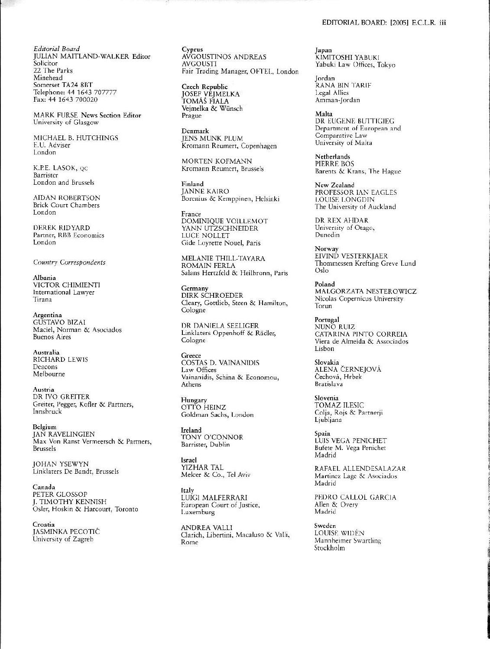Editorial Board JULIAN MAITLAND-WALKER Editor Solicitor 22 The Parks Minehead Somerset TA24 8BT Telephone: 44 1643 707777 Fax: 44 1643 700020

MARK FURSE News Section Editor University of Glasgow

MICHAEL B. HUTCHINGS E.U. Adviser London

K.P.E. LASOK, QC Barrister London and Brussels

**AIDAN ROBERTSON** Brick Court Chambers London

**DEREK RIDYARD** Partner, RBB Economics London

Country Correspondents

Albania VICTOR CHIMIENTI International Lawyer Tirana

Argentina **GUSTAVO BIZAI** Maciel, Norman & Asociados Buenos Aires

Australia RICHARD LEWIS Deacons Melbourne

Austria DR IVO GREITER Greiter, Pegger, Kofler & Partners, Innsbruck

Belgium **JAN RAVELINGIEN** Max Von Ranst Vermeersch & Partners, **Brussels** 

**IOHAN YSEWYN** Linklaters De Bandt, Brussels

Canada PETER GLOSSOP J. TIMOTHY KENNISH Osler, Hoskin & Harcourt, Toronto

Croatia **JASMINKA PECOTIĆ** University of Zagreb

Cyprus AVGOUSTINOS ANDREAS **AVGOUSTI** Fair Trading Manager, OFTEL, London

**Czech Republic** JOSEF VEJMELKA<br>TOMÁŠ FIALA Vejmelka & Wünsch Prague

Denmark **JENS MUNK PLUM** Kromann Reumert, Copenhagen

MORTEN KOFMANN Kromann Reumert, Brussels

Finland **JANNE KAIRO** Borenius & Kemppinen, Helsinki

France DOMINIQUE VOILLEMOT YANN UTZSCHNEIDER **LUCE NOLLET** Gide Loyrette Nouel, Paris

MELANIE THILL-TAYARA **ROMAIN FERLA** Salans Hertzfeld & Heilbronn, Paris

Germany DIRK SCHROEDER Cleary, Gottlieb, Steen & Hamilton, Cologne

DR DANIELA SEELIGER Linklaters Oppenhoff & Rädler, Cologne

Greece COSTAS D. VAINANIDIS Law Offices Vainanidis, Schina & Economou, Athens

Hungary OTTO HEINZ Goldman Sachs, London

Ireland<br>TONY O'CONNOR Barrister, Dublin

**Israel** YIZHAR TAL Melcer & Co., Tel Aviv

Italy LUÍGI MALFERRARI European Court of Justice, Luxemburg

ANDREA VALLI Clarich, Libertini, Macaluso & Valli, Rome

Japan KIMITOSHI YABUKI Yabuki Law Offices, Tokyo

Jordan RANA BIN TARIF Legal Allies Amman-Jordan

Malta DR EUGENE BUTTIGIEG Department of European and Comparative Law University of Malta

**Netherlands** PIERRE BOS Barents & Krans, The Hague

New Zealand PROFESSOR IAN EAGLES **LOUISE LONGDIN** The University of Auckland

DR REX AHDAR University of Otago, Dunedin

Norway<br>EIVIND VESTERKJAER Thommessen Krefting Greve Lund Oslo

Poland MALGORZATA NESTEROWICZ Nicolas Copernicus University Torun

Portugal **NUNO RUIZ** CATARINA PINTO CORREIA Viera de Almeida & Associados Lisbon

Slovakia<br>ALENA ČERNEJOVÁ Čechová, Hrbek **Bratislava** 

Slovenia TOMAZ ILESIC Colja, Rojs & Partnerji Ljubljana

Spain LUIS VEGA PENICHET Bufete M. Vega Penichet Madrid

RAFAEL ALLENDESALAZAR Martinez Lage & Asociados Madrid

PEDRO CALLOL GARCIA Allen & Overv Madrid

Sweden LOUISE WIDEN Mannheimer Swartling Stockholm